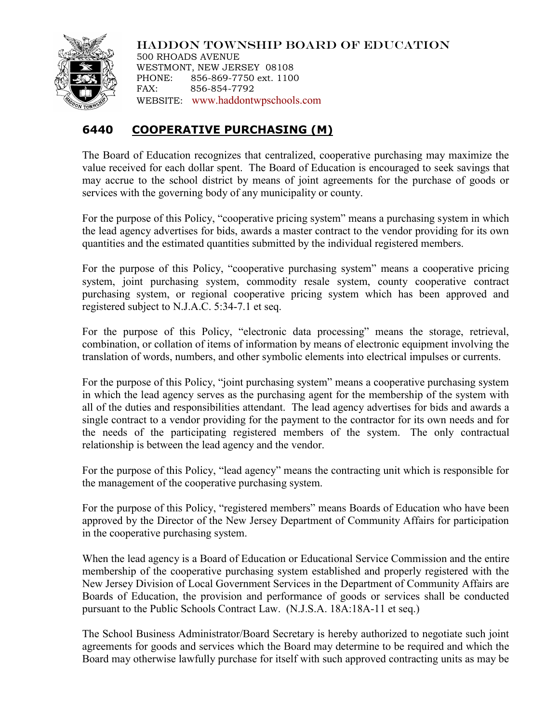

HADDON TOWNSHIP BOARD OF EDUCATION 500 RHOADS AVENUE WESTMONT, NEW JERSEY 08108 PHONE: 856-869-7750 ext. 1100 FAX: 856-854-7792 WEBSITE: [www.haddontwpschools.com](http://www.haddontwpschools.com/)

## **6440 COOPERATIVE PURCHASING (M)**

The Board of Education recognizes that centralized, cooperative purchasing may maximize the value received for each dollar spent. The Board of Education is encouraged to seek savings that may accrue to the school district by means of joint agreements for the purchase of goods or services with the governing body of any municipality or county.

For the purpose of this Policy, "cooperative pricing system" means a purchasing system in which the lead agency advertises for bids, awards a master contract to the vendor providing for its own quantities and the estimated quantities submitted by the individual registered members.

For the purpose of this Policy, "cooperative purchasing system" means a cooperative pricing system, joint purchasing system, commodity resale system, county cooperative contract purchasing system, or regional cooperative pricing system which has been approved and registered subject to N.J.A.C. 5:34-7.1 et seq.

For the purpose of this Policy, "electronic data processing" means the storage, retrieval, combination, or collation of items of information by means of electronic equipment involving the translation of words, numbers, and other symbolic elements into electrical impulses or currents.

For the purpose of this Policy, "joint purchasing system" means a cooperative purchasing system in which the lead agency serves as the purchasing agent for the membership of the system with all of the duties and responsibilities attendant. The lead agency advertises for bids and awards a single contract to a vendor providing for the payment to the contractor for its own needs and for the needs of the participating registered members of the system. The only contractual relationship is between the lead agency and the vendor.

For the purpose of this Policy, "lead agency" means the contracting unit which is responsible for the management of the cooperative purchasing system.

For the purpose of this Policy, "registered members" means Boards of Education who have been approved by the Director of the New Jersey Department of Community Affairs for participation in the cooperative purchasing system.

When the lead agency is a Board of Education or Educational Service Commission and the entire membership of the cooperative purchasing system established and properly registered with the New Jersey Division of Local Government Services in the Department of Community Affairs are Boards of Education, the provision and performance of goods or services shall be conducted pursuant to the Public Schools Contract Law. (N.J.S.A. 18A:18A-11 et seq.)

The School Business Administrator/Board Secretary is hereby authorized to negotiate such joint agreements for goods and services which the Board may determine to be required and which the Board may otherwise lawfully purchase for itself with such approved contracting units as may be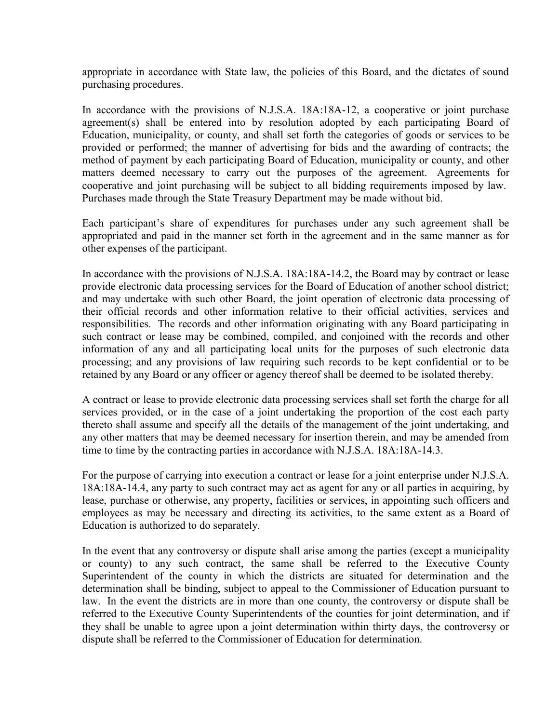appropriate in accordance with State law, the policies of this Board, and the dictates of sound purchasing procedures.

In accordance with the provisions of N.J.S.A. 18A:18A-12, a cooperative or joint purchase agreement(s) shall be entered into by resolution adopted by each participating Board of Education, municipality, or county, and shall set forth the categories of goods or services to be provided or performed; the manner of advertising for bids and the awarding of contracts; the method of payment by each participating Board of Education, municipality or county, and other matters deemed necessary to carry out the purposes of the agreement. Agreements for cooperative and joint purchasing will be subject to all bidding requirements imposed by law. Purchases made through the State Treasury Department may be made without bid.

Each participant's share of expenditures for purchases under any such agreement shall be appropriated and paid in the manner set forth in the agreement and in the same manner as for other expenses of the participant.

In accordance with the provisions of N.J.S.A. 18A:18A-14.2, the Board may by contract or lease provide electronic data processing services for the Board of Education of another school district; and may undertake with such other Board, the joint operation of electronic data processing of their official records and other information relative to their official activities, services and responsibilities. The records and other information originating with any Board participating in such contract or lease may be combined, compiled, and conjoined with the records and other information of any and all participating local units for the purposes of such electronic data processing; and any provisions of law requiring such records to be kept confidential or to be retained by any Board or any officer or agency thereof shall be deemed to be isolated thereby.

A contract or lease to provide electronic data processing services shall set forth the charge for all services provided, or in the case of a joint undertaking the proportion of the cost each party thereto shall assume and specify all the details of the management of the joint undertaking, and any other matters that may be deemed necessary for insertion therein, and may be amended from time to time by the contracting parties in accordance with N.J.S.A. 18A:18A-14.3.

For the purpose of carrying into execution a contract or lease for a joint enterprise under N.J.S.A. 18A:18A-14.4, any party to such contract may act as agent for any or all parties in acquiring, by lease, purchase or otherwise, any property, facilities or services, in appointing such officers and employees as may be necessary and directing its activities, to the same extent as a Board of Education is authorized to do separately.

In the event that any controversy or dispute shall arise among the parties (except a municipality or county) to any such contract, the same shall be referred to the Executive County Superintendent of the county in which the districts are situated for determination and the determination shall be binding, subject to appeal to the Commissioner of Education pursuant to law. In the event the districts are in more than one county, the controversy or dispute shall be referred to the Executive County Superintendents of the counties for joint determination, and if they shall be unable to agree upon a joint determination within thirty days, the controversy or dispute shall be referred to the Commissioner of Education for determination.